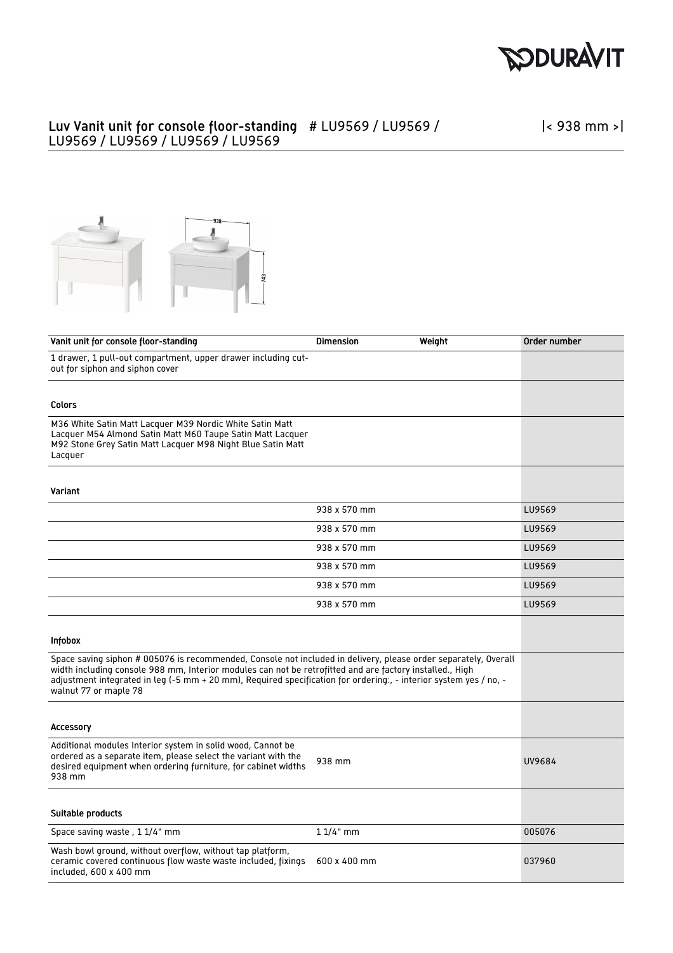

## Luv Vanit unit for console floor-standing # LU9569 / LU9569 / LU9569 / LU9569 / LU9569 / LU9569

|< 938 mm >|



| Vanit unit for console floor-standing                                                                                                                                                                                                                                                                                                                                     | <b>Dimension</b> | Weight | Order number |
|---------------------------------------------------------------------------------------------------------------------------------------------------------------------------------------------------------------------------------------------------------------------------------------------------------------------------------------------------------------------------|------------------|--------|--------------|
| 1 drawer, 1 pull-out compartment, upper drawer including cut-<br>out for siphon and siphon cover                                                                                                                                                                                                                                                                          |                  |        |              |
|                                                                                                                                                                                                                                                                                                                                                                           |                  |        |              |
| Colors                                                                                                                                                                                                                                                                                                                                                                    |                  |        |              |
| M36 White Satin Matt Lacquer M39 Nordic White Satin Matt<br>Lacquer M54 Almond Satin Matt M60 Taupe Satin Matt Lacquer<br>M92 Stone Grey Satin Matt Lacquer M98 Night Blue Satin Matt<br>Lacquer                                                                                                                                                                          |                  |        |              |
| Variant                                                                                                                                                                                                                                                                                                                                                                   |                  |        |              |
|                                                                                                                                                                                                                                                                                                                                                                           | 938 x 570 mm     |        | LU9569       |
|                                                                                                                                                                                                                                                                                                                                                                           | 938 x 570 mm     |        | LU9569       |
|                                                                                                                                                                                                                                                                                                                                                                           | 938 x 570 mm     |        | LU9569       |
|                                                                                                                                                                                                                                                                                                                                                                           | 938 x 570 mm     |        | LU9569       |
|                                                                                                                                                                                                                                                                                                                                                                           | 938 x 570 mm     |        | LU9569       |
|                                                                                                                                                                                                                                                                                                                                                                           | 938 x 570 mm     |        | LU9569       |
| <b>Infobox</b>                                                                                                                                                                                                                                                                                                                                                            |                  |        |              |
| Space saving siphon # 005076 is recommended, Console not included in delivery, please order separately, Overall<br>width including console 988 mm, Interior modules can not be retrofitted and are factory installed., High<br>adjustment integrated in leg (-5 mm + 20 mm), Required specification for ordering:, - interior system yes / no, -<br>walnut 77 or maple 78 |                  |        |              |
| Accessory                                                                                                                                                                                                                                                                                                                                                                 |                  |        |              |
| Additional modules Interior system in solid wood, Cannot be<br>ordered as a separate item, please select the variant with the<br>desired equipment when ordering furniture, for cabinet widths<br>938 mm                                                                                                                                                                  | 938 mm           |        | UV9684       |
| Suitable products                                                                                                                                                                                                                                                                                                                                                         |                  |        |              |
| Space saving waste, 1 1/4" mm                                                                                                                                                                                                                                                                                                                                             | $11/4"$ mm       |        | 005076       |
| Wash bowl ground, without overflow, without tap platform,<br>ceramic covered continuous flow waste waste included, fixings<br>included, 600 x 400 mm                                                                                                                                                                                                                      | 600 x 400 mm     |        | 037960       |